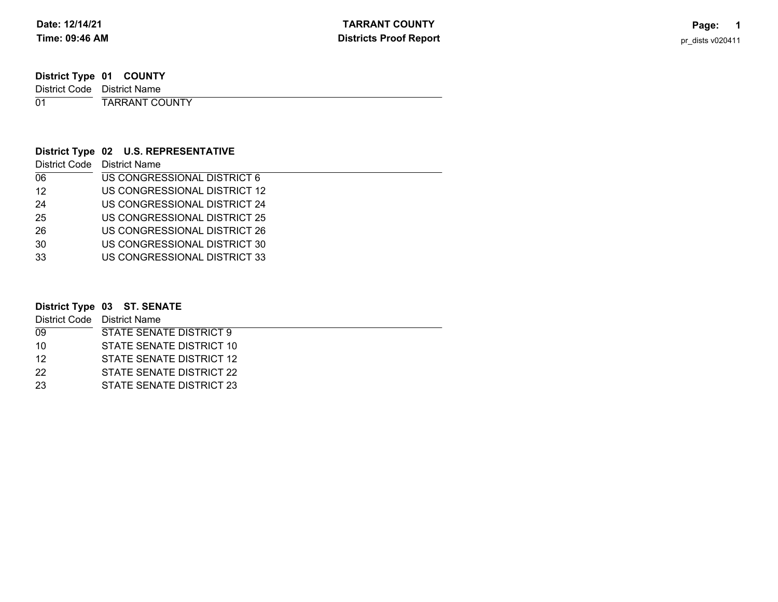## **01 District Type COUNTY**

District Code District Name

 $\overline{01}$ TARRANT COUNTY

# **02 District Type U.S. REPRESENTATIVE**

|    | District Code District Name  |
|----|------------------------------|
| 06 | US CONGRESSIONAL DISTRICT 6  |
| 12 | US CONGRESSIONAL DISTRICT 12 |
| 24 | US CONGRESSIONAL DISTRICT 24 |
| 25 | US CONGRESSIONAL DISTRICT 25 |
| 26 | US CONGRESSIONAL DISTRICT 26 |
| 30 | US CONGRESSIONAL DISTRICT 30 |
| 33 | US CONGRESSIONAL DISTRICT 33 |
|    |                              |

#### **03 District Type ST. SENATE** 0910 12 22 23 District Code District NameSTATE SENATE DISTRICT 9 STATE SENATE DISTRICT 10 STATE SENATE DISTRICT 12 STATE SENATE DISTRICT 22 STATE SENATE DISTRICT 23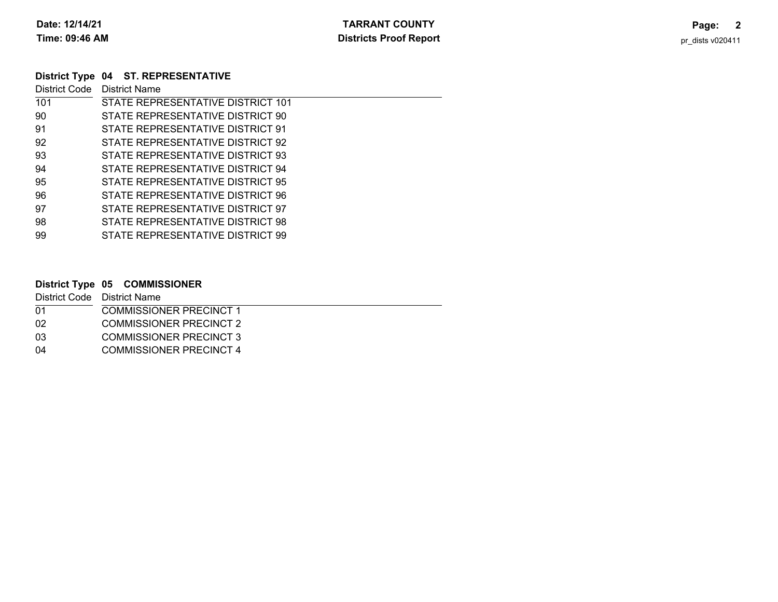### **04 District Type ST. REPRESENTATIVE**

| District Code | District Name                     |
|---------------|-----------------------------------|
| 101           | STATE REPRESENTATIVE DISTRICT 101 |
| 90            | STATE REPRESENTATIVE DISTRICT 90  |
| 91            | STATE REPRESENTATIVE DISTRICT 91  |
| 92            | STATE REPRESENTATIVE DISTRICT 92  |
| 93            | STATE REPRESENTATIVE DISTRICT 93  |
| 94            | STATE REPRESENTATIVE DISTRICT 94  |
| 95            | STATE REPRESENTATIVE DISTRICT 95  |
| 96            | STATE REPRESENTATIVE DISTRICT 96  |
| 97            | STATE REPRESENTATIVE DISTRICT 97  |
| 98            | STATE REPRESENTATIVE DISTRICT 98  |
| 99            | STATE REPRESENTATIVE DISTRICT 99  |

# **05 District Type COMMISSIONER**

| District Code District Name    |
|--------------------------------|
| <b>COMMISSIONER PRECINCT 1</b> |
| COMMISSIONER PRECINCT 2        |
| COMMISSIONER PRECINCT 3        |
| <b>COMMISSIONER PRECINCT 4</b> |
|                                |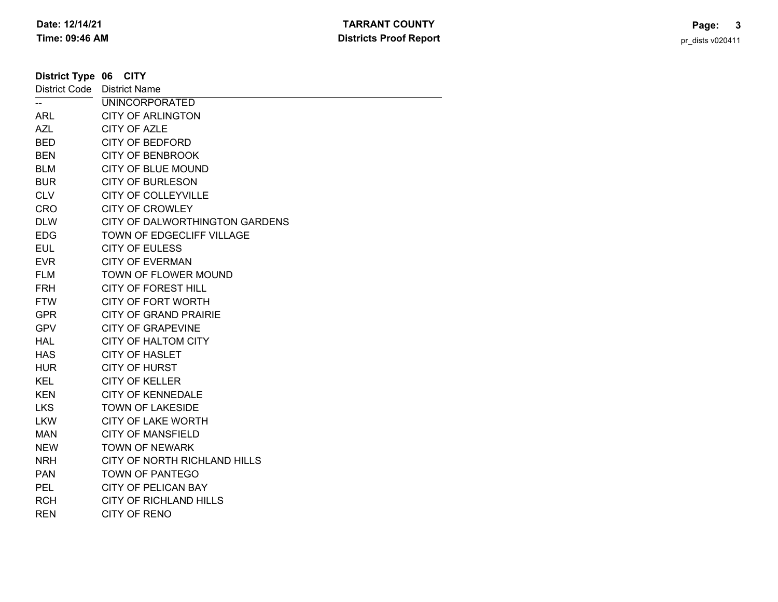| District Type 06 CITY |                                |
|-----------------------|--------------------------------|
| <b>District Code</b>  | <b>District Name</b>           |
|                       | <b>UNINCORPORATED</b>          |
| ARL                   | <b>CITY OF ARLINGTON</b>       |
| <b>AZL</b>            | CITY OF AZLE                   |
| <b>BED</b>            | <b>CITY OF BEDFORD</b>         |
| <b>BEN</b>            | <b>CITY OF BENBROOK</b>        |
| <b>BLM</b>            | <b>CITY OF BLUE MOUND</b>      |
| <b>BUR</b>            | <b>CITY OF BURLESON</b>        |
| <b>CLV</b>            | <b>CITY OF COLLEYVILLE</b>     |
| <b>CRO</b>            | <b>CITY OF CROWLEY</b>         |
| <b>DLW</b>            | CITY OF DALWORTHINGTON GARDENS |
| <b>EDG</b>            | TOWN OF EDGECLIFF VILLAGE      |
| <b>EUL</b>            | <b>CITY OF EULESS</b>          |
| <b>EVR</b>            | <b>CITY OF EVERMAN</b>         |
| <b>FLM</b>            | TOWN OF FLOWER MOUND           |
| <b>FRH</b>            | <b>CITY OF FOREST HILL</b>     |
| <b>FTW</b>            | <b>CITY OF FORT WORTH</b>      |
| <b>GPR</b>            | <b>CITY OF GRAND PRAIRIE</b>   |
| <b>GPV</b>            | <b>CITY OF GRAPEVINE</b>       |
| <b>HAL</b>            | CITY OF HALTOM CITY            |
| <b>HAS</b>            | <b>CITY OF HASLET</b>          |
| <b>HUR</b>            | <b>CITY OF HURST</b>           |
| <b>KEL</b>            | <b>CITY OF KELLER</b>          |
| <b>KEN</b>            | <b>CITY OF KENNEDALE</b>       |
| <b>LKS</b>            | <b>TOWN OF LAKESIDE</b>        |
| <b>LKW</b>            | <b>CITY OF LAKE WORTH</b>      |
| <b>MAN</b>            | <b>CITY OF MANSFIELD</b>       |
| <b>NEW</b>            | <b>TOWN OF NEWARK</b>          |
| <b>NRH</b>            | CITY OF NORTH RICHLAND HILLS   |
| <b>PAN</b>            | <b>TOWN OF PANTEGO</b>         |
| <b>PEL</b>            | <b>CITY OF PELICAN BAY</b>     |
| <b>RCH</b>            | <b>CITY OF RICHLAND HILLS</b>  |
| <b>REN</b>            | <b>CITY OF RENO</b>            |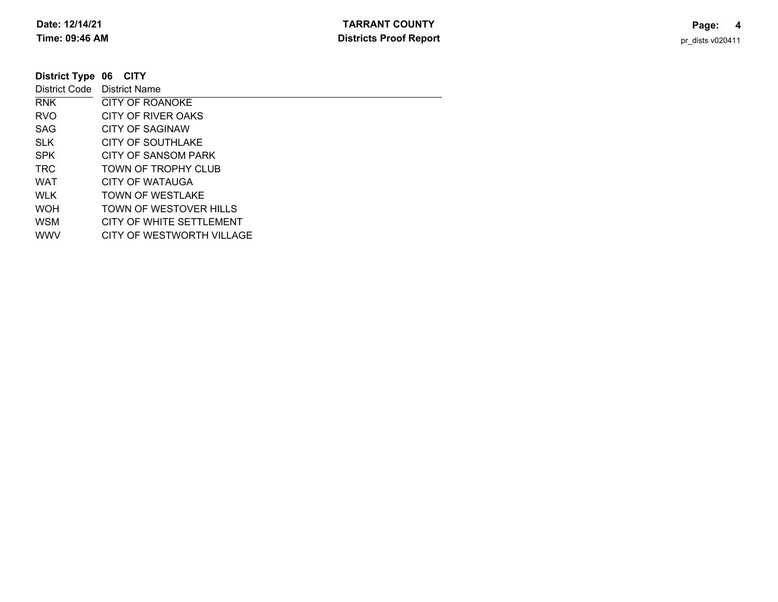| District Type 06            | <b>CITY</b>               |
|-----------------------------|---------------------------|
| District Code District Name |                           |
| <b>RNK</b>                  | CITY OF ROANOKE           |
| <b>RVO</b>                  | CITY OF RIVER OAKS        |
| <b>SAG</b>                  | <b>CITY OF SAGINAW</b>    |
| <b>SLK</b>                  | CITY OF SOUTHLAKE         |
| <b>SPK</b>                  | CITY OF SANSOM PARK       |
| <b>TRC</b>                  | TOWN OF TROPHY CLUB       |
| <b>WAT</b>                  | CITY OF WATAUGA           |
| <b>WLK</b>                  | TOWN OF WESTLAKE          |
| <b>WOH</b>                  | TOWN OF WESTOVER HILLS    |
| <b>WSM</b>                  | CITY OF WHITE SETTLEMENT  |
| <b>WWV</b>                  | CITY OF WESTWORTH VILLAGE |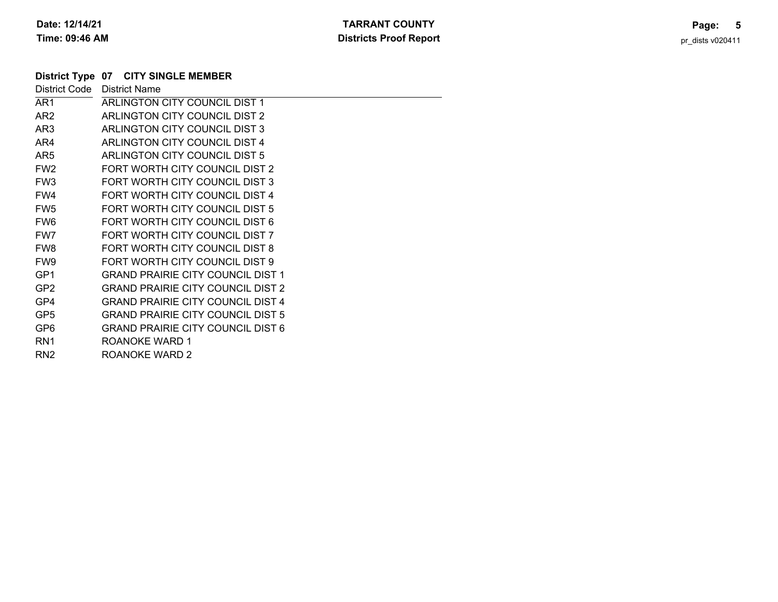# **District Type CITY SINGLE MEMBER 07**

| District Code<br><b>District Name</b>    |
|------------------------------------------|
| ARLINGTON CITY COUNCIL DIST 1            |
| ARLINGTON CITY COUNCIL DIST 2            |
| ARLINGTON CITY COUNCIL DIST 3            |
| ARLINGTON CITY COUNCIL DIST 4            |
| ARLINGTON CITY COUNCIL DIST 5            |
| FORT WORTH CITY COUNCIL DIST 2           |
| FORT WORTH CITY COUNCIL DIST 3           |
| FORT WORTH CITY COUNCIL DIST 4           |
| FORT WORTH CITY COUNCIL DIST 5           |
| FORT WORTH CITY COUNCIL DIST 6           |
| FORT WORTH CITY COUNCIL DIST 7           |
| FORT WORTH CITY COUNCIL DIST 8           |
| FORT WORTH CITY COUNCIL DIST 9           |
| <b>GRAND PRAIRIE CITY COUNCIL DIST 1</b> |
| <b>GRAND PRAIRIE CITY COUNCIL DIST 2</b> |
| <b>GRAND PRAIRIE CITY COUNCIL DIST 4</b> |
| <b>GRAND PRAIRIE CITY COUNCIL DIST 5</b> |
| <b>GRAND PRAIRIE CITY COUNCIL DIST 6</b> |
| <b>ROANOKE WARD 1</b>                    |
| ROANOKE WARD 2                           |
|                                          |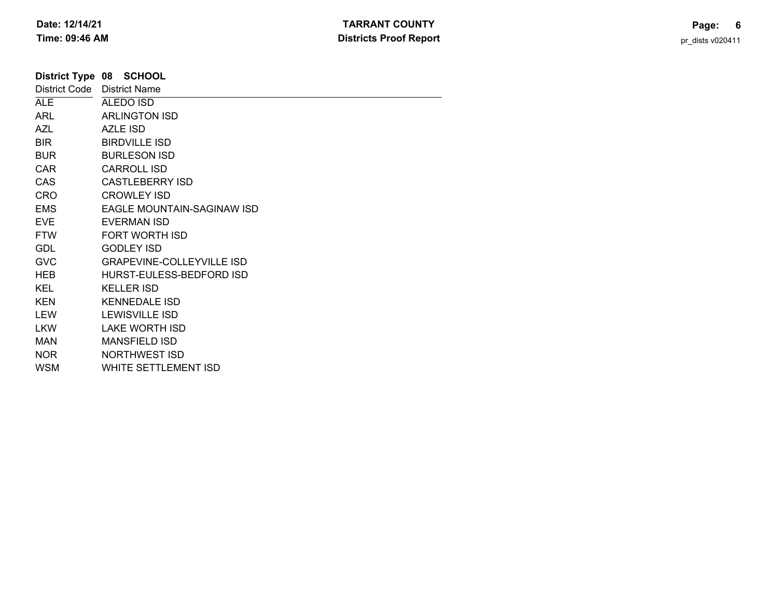|                      | District Type 08 SCHOOL           |
|----------------------|-----------------------------------|
| <b>District Code</b> | <b>District Name</b>              |
| <b>ALE</b>           | ALEDO ISD                         |
| ARL                  | <b>ARLINGTON ISD</b>              |
| <b>AZL</b>           | AZLE ISD                          |
| BIR.                 | <b>BIRDVILLE ISD</b>              |
| <b>BUR</b>           | <b>BURLESON ISD</b>               |
| <b>CAR</b>           | CARROLL ISD                       |
| CAS                  | CASTLEBERRY ISD                   |
| <b>CRO</b>           | <b>CROWLEY ISD</b>                |
| <b>EMS</b>           | <b>EAGLE MOUNTAIN-SAGINAW ISD</b> |
| EVE                  | <b>EVERMAN ISD</b>                |
| <b>FTW</b>           | <b>FORT WORTH ISD</b>             |
| <b>GDL</b>           | <b>GODLEY ISD</b>                 |
| <b>GVC</b>           | <b>GRAPEVINE-COLLEYVILLE ISD</b>  |
| <b>HEB</b>           | <b>HURST-EULESS-BEDFORD ISD</b>   |
| KEL                  | <b>KELLER ISD</b>                 |
| <b>KEN</b>           | <b>KENNEDALE ISD</b>              |
| LEW                  | LEWISVILLE ISD                    |
| LKW                  | LAKE WORTH ISD                    |
| <b>MAN</b>           | <b>MANSFIELD ISD</b>              |
| NOR.                 | NORTHWEST ISD                     |
| <b>WSM</b>           | <b>WHITE SETTLEMENT ISD</b>       |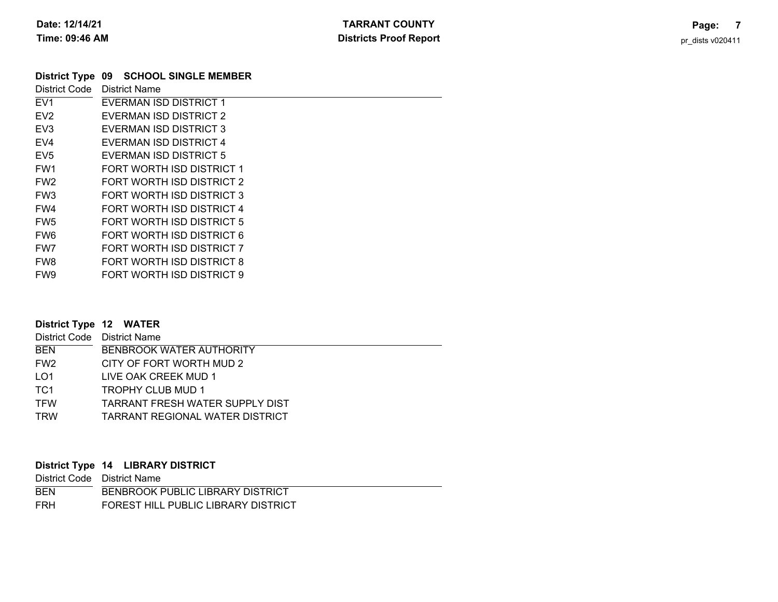## **09 District Type SCHOOL SINGLE MEMBER**

| District Code   | <b>District Name</b>      |
|-----------------|---------------------------|
| EV <sub>1</sub> | EVERMAN ISD DISTRICT 1    |
| EV <sub>2</sub> | EVERMAN ISD DISTRICT 2    |
| EV <sub>3</sub> | EVERMAN ISD DISTRICT 3    |
| EV4             | EVERMAN ISD DISTRICT 4    |
| EV <sub>5</sub> | EVERMAN ISD DISTRICT 5    |
| FW <sub>1</sub> | FORT WORTH ISD DISTRICT 1 |
| FW <sub>2</sub> | FORT WORTH ISD DISTRICT 2 |
| FW <sub>3</sub> | FORT WORTH ISD DISTRICT 3 |
| FW4             | FORT WORTH ISD DISTRICT 4 |
| FW <sub>5</sub> | FORT WORTH ISD DISTRICT 5 |
| FW <sub>6</sub> | FORT WORTH ISD DISTRICT 6 |
| FW7             | FORT WORTH ISD DISTRICT 7 |
| FW <sub>8</sub> | FORT WORTH ISD DISTRICT 8 |
| FW <sub>9</sub> | FORT WORTH ISD DISTRICT 9 |

| District Type 12 WATER      |                                 |
|-----------------------------|---------------------------------|
| District Code District Name |                                 |
| <b>BEN</b>                  | <b>BENBROOK WATER AUTHORITY</b> |
| FW <sub>2</sub>             | CITY OF FORT WORTH MUD 2        |
| LO1                         | LIVE OAK CREEK MUD 1            |
| TC <sub>1</sub>             | <b>TROPHY CLUB MUD 1</b>        |
| <b>TFW</b>                  | TARRANT FRESH WATER SUPPLY DIST |
| <b>TRW</b>                  | TARRANT REGIONAL WATER DISTRICT |

# **14 District Type LIBRARY DISTRICT**

|            | District Code District Name         |
|------------|-------------------------------------|
| <b>BEN</b> | BENBROOK PUBLIC LIBRARY DISTRICT    |
| FRH        | FOREST HILL PUBLIC LIBRARY DISTRICT |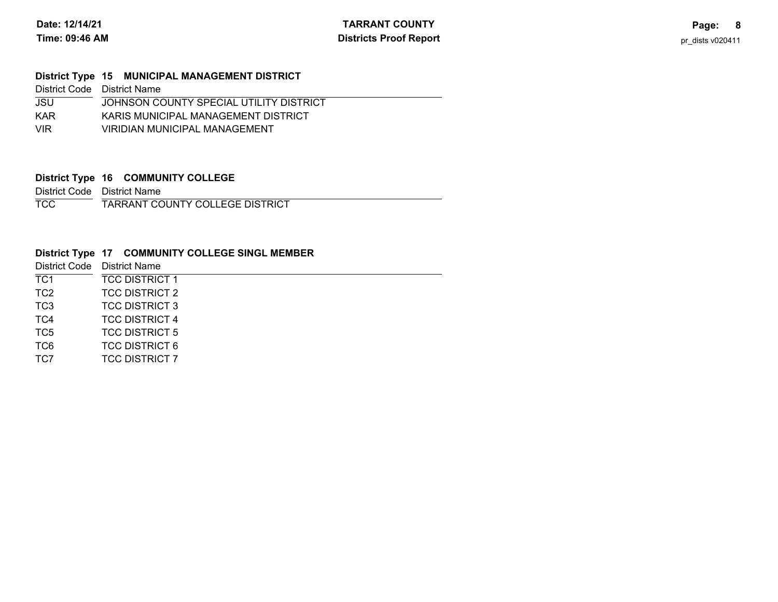#### **15 District Type MUNICIPAL MANAGEMENT DISTRICT** JSUKARVIRDistrict Code District Name JOHNSON COUNTY SPECIAL UTILITY DISTRICT KARIS MUNICIPAL MANAGEMENT DISTRICT VIRIDIAN MUNICIPAL MANAGEMENT

#### **16 District Type COMMUNITY COLLEGE**

District Code District Name

T<sub>CC</sub> TARRANT COUNTY COLLEGE DISTRICT

## **17 District Type COMMUNITY COLLEGE SINGL MEMBER**

|                 | District Code District Name |  |
|-----------------|-----------------------------|--|
| TC1             | <b>TCC DISTRICT 1</b>       |  |
| TC <sub>2</sub> | <b>TCC DISTRICT 2</b>       |  |
| TC <sub>3</sub> | <b>TCC DISTRICT 3</b>       |  |
| TC4             | <b>TCC DISTRICT 4</b>       |  |
| TC5             | <b>TCC DISTRICT 5</b>       |  |
| TC6             | <b>TCC DISTRICT 6</b>       |  |
| TC7             | <b>TCC DISTRICT 7</b>       |  |